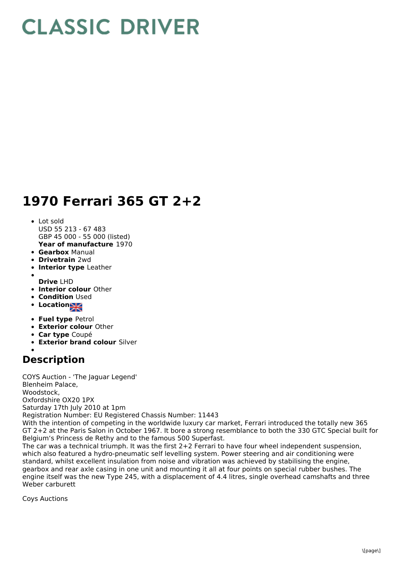## **CLASSIC DRIVER**

## **1970 Ferrari 365 GT 2+2**

- **Year of manufacture** 1970 • Lot sold USD 55 213 - 67 483 GBP 45 000 - 55 000 (listed)
- **Gearbox** Manual
- **Drivetrain** 2wd
- **Interior type** Leather
- **Drive** LHD
- **Interior colour** Other
- **Condition Used**
- **Location**
- 
- **Fuel type** Petrol
- **Exterior colour** Other
- **Car type** Coupé
- **Exterior brand colour** Silver
- 

## **Description**

COYS Auction - 'The Jaguar Legend' Blenheim Palace, Woodstock, Oxfordshire OX20 1PX Saturday 17th July 2010 at 1pm Registration Number: EU Registered Chassis Number: 11443

With the intention of competing in the worldwide luxury car market, Ferrari introduced the totally new 365 GT 2+2 at the Paris Salon in October 1967. It bore a strong resemblance to both the 330 GTC Special built for Belgium's Princess de Rethy and to the famous 500 Superfast.

The car was a technical triumph. It was the first 2+2 Ferrari to have four wheel independent suspension, which also featured a hydro-pneumatic self levelling system. Power steering and air conditioning were standard, whilst excellent insulation from noise and vibration was achieved by stabilising the engine, gearbox and rear axle casing in one unit and mounting it all at four points on special rubber bushes. The engine itself was the new Type 245, with a displacement of 4.4 litres, single overhead camshafts and three Weber carburett

Coys Auctions